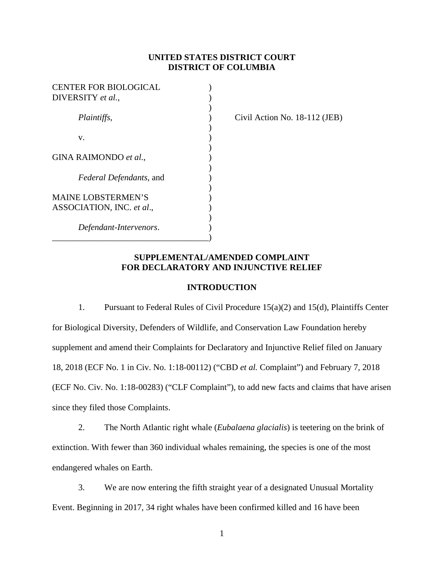## **UNITED STATES DISTRICT COURT DISTRICT OF COLUMBIA**

| <b>CENTER FOR BIOLOGICAL</b>   |  |
|--------------------------------|--|
| DIVERSITY et al.,              |  |
|                                |  |
| Plaintiffs,                    |  |
|                                |  |
| v.                             |  |
|                                |  |
| GINA RAIMONDO et al.,          |  |
|                                |  |
| <i>Federal Defendants, and</i> |  |
|                                |  |
| <b>MAINE LOBSTERMEN'S</b>      |  |
| ASSOCIATION, INC. et al.,      |  |
|                                |  |
| Defendant-Intervenors.         |  |
|                                |  |

*Plaintiffs*, ) Civil Action No. 18-112 (JEB)

## **SUPPLEMENTAL/AMENDED COMPLAINT FOR DECLARATORY AND INJUNCTIVE RELIEF**

## **INTRODUCTION**

1. Pursuant to Federal Rules of Civil Procedure 15(a)(2) and 15(d), Plaintiffs Center for Biological Diversity, Defenders of Wildlife, and Conservation Law Foundation hereby supplement and amend their Complaints for Declaratory and Injunctive Relief filed on January 18, 2018 (ECF No. 1 in Civ. No. 1:18-00112) ("CBD *et al.* Complaint") and February 7, 2018 (ECF No. Civ. No. 1:18-00283) ("CLF Complaint"), to add new facts and claims that have arisen since they filed those Complaints.

2. The North Atlantic right whale (*Eubalaena glacialis*) is teetering on the brink of extinction. With fewer than 360 individual whales remaining, the species is one of the most endangered whales on Earth.

3. We are now entering the fifth straight year of a designated Unusual Mortality Event. Beginning in 2017, 34 right whales have been confirmed killed and 16 have been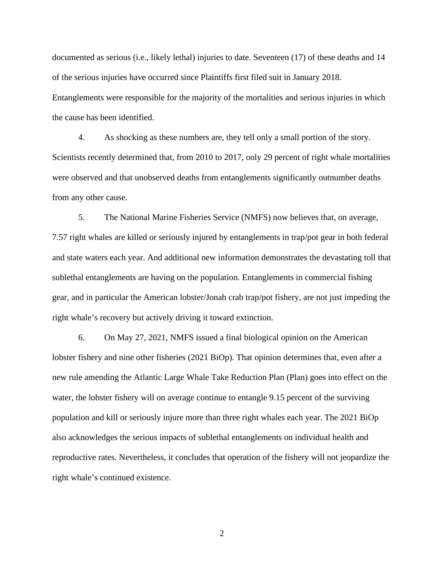documented as serious (i.e., likely lethal) injuries to date. Seventeen (17) of these deaths and 14 of the serious injuries have occurred since Plaintiffs first filed suit in January 2018. Entanglements were responsible for the majority of the mortalities and serious injuries in which the cause has been identified.

4. As shocking as these numbers are, they tell only a small portion of the story. Scientists recently determined that, from 2010 to 2017, only 29 percent of right whale mortalities were observed and that unobserved deaths from entanglements significantly outnumber deaths from any other cause.

5. The National Marine Fisheries Service (NMFS) now believes that, on average, 7.57 right whales are killed or seriously injured by entanglements in trap/pot gear in both federal and state waters each year. And additional new information demonstrates the devastating toll that sublethal entanglements are having on the population. Entanglements in commercial fishing gear, and in particular the American lobster/Jonah crab trap/pot fishery, are not just impeding the right whale's recovery but actively driving it toward extinction.

6. On May 27, 2021, NMFS issued a final biological opinion on the American lobster fishery and nine other fisheries (2021 BiOp). That opinion determines that, even after a new rule amending the Atlantic Large Whale Take Reduction Plan (Plan) goes into effect on the water, the lobster fishery will on average continue to entangle 9.15 percent of the surviving population and kill or seriously injure more than three right whales each year. The 2021 BiOp also acknowledges the serious impacts of sublethal entanglements on individual health and reproductive rates. Nevertheless, it concludes that operation of the fishery will not jeopardize the right whale's continued existence.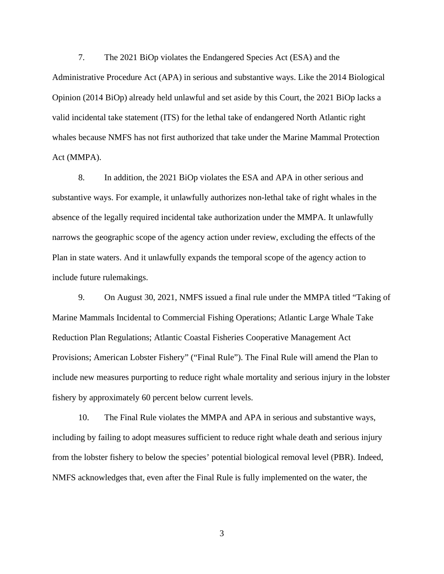7. The 2021 BiOp violates the Endangered Species Act (ESA) and the Administrative Procedure Act (APA) in serious and substantive ways. Like the 2014 Biological Opinion (2014 BiOp) already held unlawful and set aside by this Court, the 2021 BiOp lacks a valid incidental take statement (ITS) for the lethal take of endangered North Atlantic right whales because NMFS has not first authorized that take under the Marine Mammal Protection Act (MMPA).

8. In addition, the 2021 BiOp violates the ESA and APA in other serious and substantive ways. For example, it unlawfully authorizes non-lethal take of right whales in the absence of the legally required incidental take authorization under the MMPA. It unlawfully narrows the geographic scope of the agency action under review, excluding the effects of the Plan in state waters. And it unlawfully expands the temporal scope of the agency action to include future rulemakings.

9. On August 30, 2021, NMFS issued a final rule under the MMPA titled "Taking of Marine Mammals Incidental to Commercial Fishing Operations; Atlantic Large Whale Take Reduction Plan Regulations; Atlantic Coastal Fisheries Cooperative Management Act Provisions; American Lobster Fishery" ("Final Rule"). The Final Rule will amend the Plan to include new measures purporting to reduce right whale mortality and serious injury in the lobster fishery by approximately 60 percent below current levels.

10. The Final Rule violates the MMPA and APA in serious and substantive ways, including by failing to adopt measures sufficient to reduce right whale death and serious injury from the lobster fishery to below the species' potential biological removal level (PBR). Indeed, NMFS acknowledges that, even after the Final Rule is fully implemented on the water, the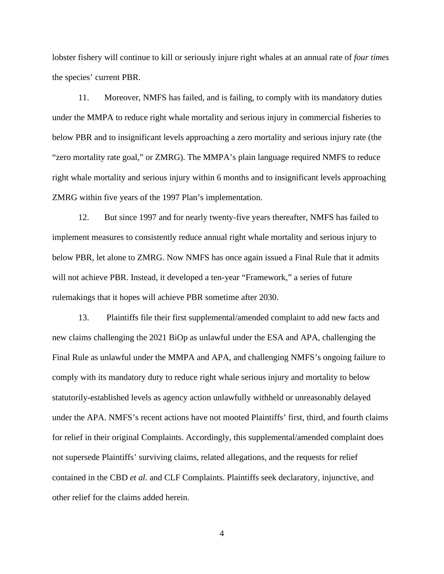lobster fishery will continue to kill or seriously injure right whales at an annual rate of *four times* the species' current PBR.

11. Moreover, NMFS has failed, and is failing, to comply with its mandatory duties under the MMPA to reduce right whale mortality and serious injury in commercial fisheries to below PBR and to insignificant levels approaching a zero mortality and serious injury rate (the "zero mortality rate goal," or ZMRG). The MMPA's plain language required NMFS to reduce right whale mortality and serious injury within 6 months and to insignificant levels approaching ZMRG within five years of the 1997 Plan's implementation.

12. But since 1997 and for nearly twenty-five years thereafter, NMFS has failed to implement measures to consistently reduce annual right whale mortality and serious injury to below PBR, let alone to ZMRG. Now NMFS has once again issued a Final Rule that it admits will not achieve PBR. Instead, it developed a ten-year "Framework," a series of future rulemakings that it hopes will achieve PBR sometime after 2030.

13. Plaintiffs file their first supplemental/amended complaint to add new facts and new claims challenging the 2021 BiOp as unlawful under the ESA and APA, challenging the Final Rule as unlawful under the MMPA and APA, and challenging NMFS's ongoing failure to comply with its mandatory duty to reduce right whale serious injury and mortality to below statutorily-established levels as agency action unlawfully withheld or unreasonably delayed under the APA. NMFS's recent actions have not mooted Plaintiffs' first, third, and fourth claims for relief in their original Complaints. Accordingly, this supplemental/amended complaint does not supersede Plaintiffs' surviving claims, related allegations, and the requests for relief contained in the CBD *et al.* and CLF Complaints. Plaintiffs seek declaratory, injunctive, and other relief for the claims added herein.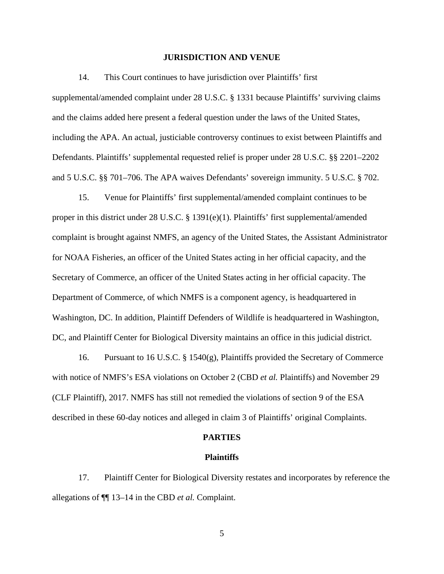### **JURISDICTION AND VENUE**

14. This Court continues to have jurisdiction over Plaintiffs' first supplemental/amended complaint under 28 U.S.C. § 1331 because Plaintiffs' surviving claims and the claims added here present a federal question under the laws of the United States, including the APA. An actual, justiciable controversy continues to exist between Plaintiffs and Defendants. Plaintiffs' supplemental requested relief is proper under 28 U.S.C. §§ 2201–2202 and 5 U.S.C. §§ 701–706. The APA waives Defendants' sovereign immunity. 5 U.S.C. § 702.

15. Venue for Plaintiffs' first supplemental/amended complaint continues to be proper in this district under 28 U.S.C. § 1391(e)(1). Plaintiffs' first supplemental/amended complaint is brought against NMFS, an agency of the United States, the Assistant Administrator for NOAA Fisheries, an officer of the United States acting in her official capacity, and the Secretary of Commerce, an officer of the United States acting in her official capacity. The Department of Commerce, of which NMFS is a component agency, is headquartered in Washington, DC. In addition, Plaintiff Defenders of Wildlife is headquartered in Washington, DC, and Plaintiff Center for Biological Diversity maintains an office in this judicial district.

16. Pursuant to 16 U.S.C.  $\S$  1540(g), Plaintiffs provided the Secretary of Commerce with notice of NMFS's ESA violations on October 2 (CBD *et al.* Plaintiffs) and November 29 (CLF Plaintiff), 2017. NMFS has still not remedied the violations of section 9 of the ESA described in these 60-day notices and alleged in claim 3 of Plaintiffs' original Complaints.

#### **PARTIES**

#### **Plaintiffs**

17. Plaintiff Center for Biological Diversity restates and incorporates by reference the allegations of ¶¶ 13–14 in the CBD *et al.* Complaint.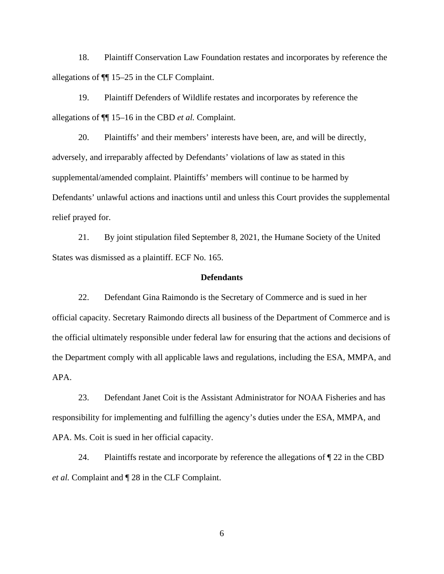18. Plaintiff Conservation Law Foundation restates and incorporates by reference the allegations of ¶¶ 15–25 in the CLF Complaint.

19. Plaintiff Defenders of Wildlife restates and incorporates by reference the allegations of ¶¶ 15–16 in the CBD *et al.* Complaint.

20. Plaintiffs' and their members' interests have been, are, and will be directly, adversely, and irreparably affected by Defendants' violations of law as stated in this supplemental/amended complaint. Plaintiffs' members will continue to be harmed by Defendants' unlawful actions and inactions until and unless this Court provides the supplemental relief prayed for.

21. By joint stipulation filed September 8, 2021, the Humane Society of the United States was dismissed as a plaintiff. ECF No. 165.

### **Defendants**

22. Defendant Gina Raimondo is the Secretary of Commerce and is sued in her official capacity. Secretary Raimondo directs all business of the Department of Commerce and is the official ultimately responsible under federal law for ensuring that the actions and decisions of the Department comply with all applicable laws and regulations, including the ESA, MMPA, and APA.

23. Defendant Janet Coit is the Assistant Administrator for NOAA Fisheries and has responsibility for implementing and fulfilling the agency's duties under the ESA, MMPA, and APA. Ms. Coit is sued in her official capacity.

24. Plaintiffs restate and incorporate by reference the allegations of  $\sqrt{\ }$  22 in the CBD *et al.* Complaint and ¶ 28 in the CLF Complaint.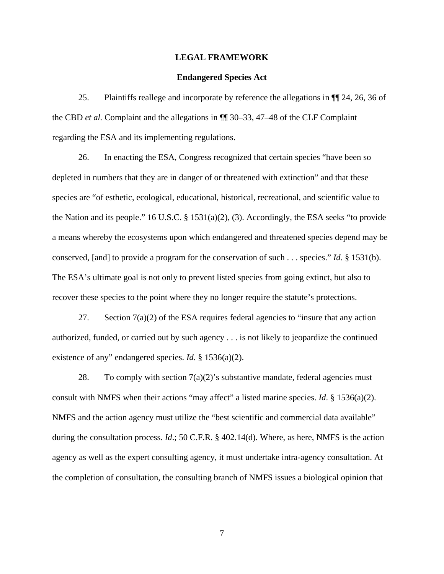### **LEGAL FRAMEWORK**

### **Endangered Species Act**

25. Plaintiffs reallege and incorporate by reference the allegations in ¶¶ 24, 26, 36 of the CBD *et al.* Complaint and the allegations in ¶¶ 30–33, 47–48 of the CLF Complaint regarding the ESA and its implementing regulations.

26. In enacting the ESA, Congress recognized that certain species "have been so depleted in numbers that they are in danger of or threatened with extinction" and that these species are "of esthetic, ecological, educational, historical, recreational, and scientific value to the Nation and its people." 16 U.S.C. § 1531(a)(2), (3). Accordingly, the ESA seeks "to provide a means whereby the ecosystems upon which endangered and threatened species depend may be conserved, [and] to provide a program for the conservation of such . . . species." *Id*. § 1531(b). The ESA's ultimate goal is not only to prevent listed species from going extinct, but also to recover these species to the point where they no longer require the statute's protections.

27. Section  $7(a)(2)$  of the ESA requires federal agencies to "insure that any action" authorized, funded, or carried out by such agency . . . is not likely to jeopardize the continued existence of any" endangered species. *Id*. § 1536(a)(2).

28. To comply with section  $7(a)(2)$ 's substantive mandate, federal agencies must consult with NMFS when their actions "may affect" a listed marine species. *Id*. § 1536(a)(2). NMFS and the action agency must utilize the "best scientific and commercial data available" during the consultation process. *Id*.; 50 C.F.R. § 402.14(d). Where, as here, NMFS is the action agency as well as the expert consulting agency, it must undertake intra-agency consultation. At the completion of consultation, the consulting branch of NMFS issues a biological opinion that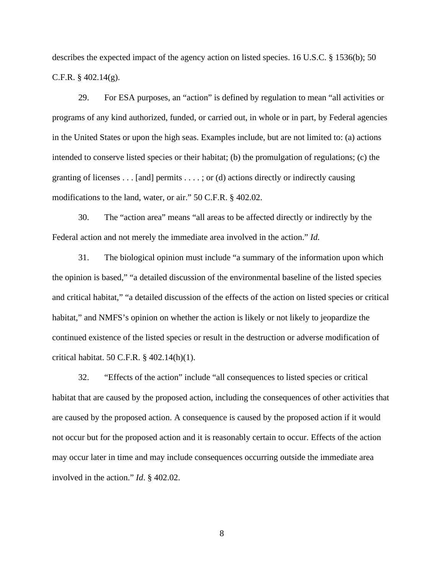describes the expected impact of the agency action on listed species. 16 U.S.C. § 1536(b); 50 C.F.R.  $\S$  402.14(g).

29. For ESA purposes, an "action" is defined by regulation to mean "all activities or programs of any kind authorized, funded, or carried out, in whole or in part, by Federal agencies in the United States or upon the high seas. Examples include, but are not limited to: (a) actions intended to conserve listed species or their habitat; (b) the promulgation of regulations; (c) the granting of licenses  $\dots$  [and] permits  $\dots$ ; or (d) actions directly or indirectly causing modifications to the land, water, or air." 50 C.F.R. § 402.02.

30. The "action area" means "all areas to be affected directly or indirectly by the Federal action and not merely the immediate area involved in the action." *Id.*

31. The biological opinion must include "a summary of the information upon which the opinion is based," "a detailed discussion of the environmental baseline of the listed species and critical habitat," "a detailed discussion of the effects of the action on listed species or critical habitat," and NMFS's opinion on whether the action is likely or not likely to jeopardize the continued existence of the listed species or result in the destruction or adverse modification of critical habitat. 50 C.F.R. § 402.14(h)(1).

32. "Effects of the action" include "all consequences to listed species or critical habitat that are caused by the proposed action, including the consequences of other activities that are caused by the proposed action. A consequence is caused by the proposed action if it would not occur but for the proposed action and it is reasonably certain to occur. Effects of the action may occur later in time and may include consequences occurring outside the immediate area involved in the action." *Id*. § 402.02.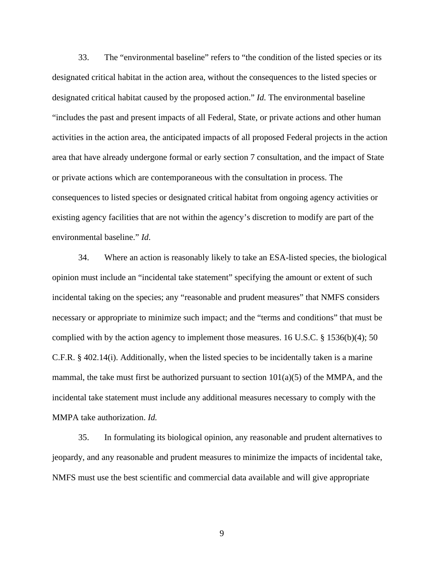33. The "environmental baseline" refers to "the condition of the listed species or its designated critical habitat in the action area, without the consequences to the listed species or designated critical habitat caused by the proposed action." *Id.* The environmental baseline "includes the past and present impacts of all Federal, State, or private actions and other human activities in the action area, the anticipated impacts of all proposed Federal projects in the action area that have already undergone formal or early section 7 consultation, and the impact of State or private actions which are contemporaneous with the consultation in process. The consequences to listed species or designated critical habitat from ongoing agency activities or existing agency facilities that are not within the agency's discretion to modify are part of the environmental baseline." *Id*.

34. Where an action is reasonably likely to take an ESA-listed species, the biological opinion must include an "incidental take statement" specifying the amount or extent of such incidental taking on the species; any "reasonable and prudent measures" that NMFS considers necessary or appropriate to minimize such impact; and the "terms and conditions" that must be complied with by the action agency to implement those measures. 16 U.S.C. § 1536(b)(4); 50 C.F.R. § 402.14(i). Additionally, when the listed species to be incidentally taken is a marine mammal, the take must first be authorized pursuant to section  $101(a)(5)$  of the MMPA, and the incidental take statement must include any additional measures necessary to comply with the MMPA take authorization. *Id.*

35. In formulating its biological opinion, any reasonable and prudent alternatives to jeopardy, and any reasonable and prudent measures to minimize the impacts of incidental take, NMFS must use the best scientific and commercial data available and will give appropriate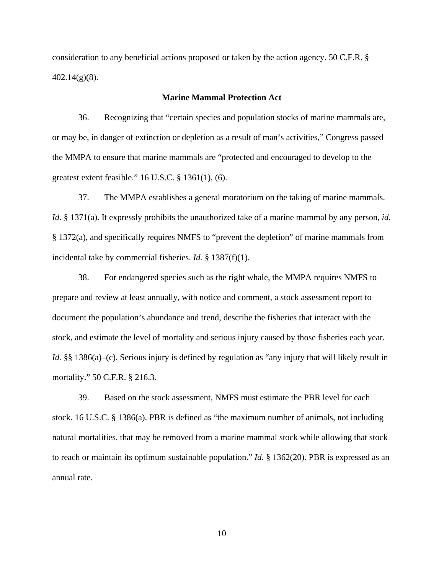consideration to any beneficial actions proposed or taken by the action agency. 50 C.F.R. § 402.14(g)(8).

## **Marine Mammal Protection Act**

36. Recognizing that "certain species and population stocks of marine mammals are, or may be, in danger of extinction or depletion as a result of man's activities," Congress passed the MMPA to ensure that marine mammals are "protected and encouraged to develop to the greatest extent feasible." 16 U.S.C. § 1361(1), (6).

37. The MMPA establishes a general moratorium on the taking of marine mammals. *Id*. § 1371(a). It expressly prohibits the unauthorized take of a marine mammal by any person, *id.*  § 1372(a), and specifically requires NMFS to "prevent the depletion" of marine mammals from incidental take by commercial fisheries. *Id.* § 1387(f)(1).

38. For endangered species such as the right whale, the MMPA requires NMFS to prepare and review at least annually, with notice and comment, a stock assessment report to document the population's abundance and trend, describe the fisheries that interact with the stock, and estimate the level of mortality and serious injury caused by those fisheries each year. *Id.* §§ 1386(a)–(c). Serious injury is defined by regulation as "any injury that will likely result in mortality." 50 C.F.R. § 216.3.

39. Based on the stock assessment, NMFS must estimate the PBR level for each stock. 16 U.S.C. § 1386(a). PBR is defined as "the maximum number of animals, not including natural mortalities, that may be removed from a marine mammal stock while allowing that stock to reach or maintain its optimum sustainable population." *Id.* § 1362(20). PBR is expressed as an annual rate.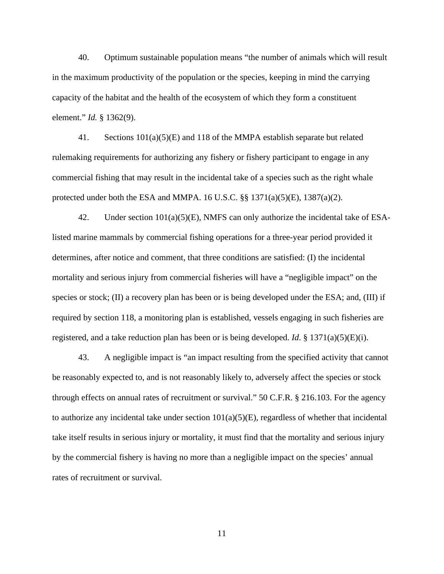40. Optimum sustainable population means "the number of animals which will result in the maximum productivity of the population or the species, keeping in mind the carrying capacity of the habitat and the health of the ecosystem of which they form a constituent element." *Id.* § 1362(9).

41. Sections  $101(a)(5)(E)$  and 118 of the MMPA establish separate but related rulemaking requirements for authorizing any fishery or fishery participant to engage in any commercial fishing that may result in the incidental take of a species such as the right whale protected under both the ESA and MMPA. 16 U.S.C.  $\S$ § 1371(a)(5)(E), 1387(a)(2).

42. Under section 101(a)(5)(E), NMFS can only authorize the incidental take of ESAlisted marine mammals by commercial fishing operations for a three-year period provided it determines, after notice and comment, that three conditions are satisfied: (I) the incidental mortality and serious injury from commercial fisheries will have a "negligible impact" on the species or stock; (II) a recovery plan has been or is being developed under the ESA; and, (III) if required by section 118, a monitoring plan is established, vessels engaging in such fisheries are registered, and a take reduction plan has been or is being developed. *Id*. § 1371(a)(5)(E)(i).

43. A negligible impact is "an impact resulting from the specified activity that cannot be reasonably expected to, and is not reasonably likely to, adversely affect the species or stock through effects on annual rates of recruitment or survival." 50 C.F.R. § 216.103. For the agency to authorize any incidental take under section  $101(a)(5)(E)$ , regardless of whether that incidental take itself results in serious injury or mortality, it must find that the mortality and serious injury by the commercial fishery is having no more than a negligible impact on the species' annual rates of recruitment or survival.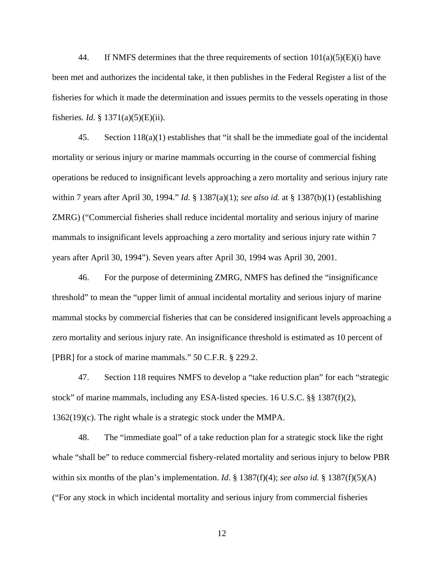44. If NMFS determines that the three requirements of section  $101(a)(5)(E)(i)$  have been met and authorizes the incidental take, it then publishes in the Federal Register a list of the fisheries for which it made the determination and issues permits to the vessels operating in those fisheries. *Id*. § 1371(a)(5)(E)(ii).

45. Section 118(a)(1) establishes that "it shall be the immediate goal of the incidental mortality or serious injury or marine mammals occurring in the course of commercial fishing operations be reduced to insignificant levels approaching a zero mortality and serious injury rate within 7 years after April 30, 1994." *Id.* § 1387(a)(1); *see also id.* at § 1387(b)(1) (establishing ZMRG) ("Commercial fisheries shall reduce incidental mortality and serious injury of marine mammals to insignificant levels approaching a zero mortality and serious injury rate within 7 years after April 30, 1994"). Seven years after April 30, 1994 was April 30, 2001.

46. For the purpose of determining ZMRG, NMFS has defined the "insignificance threshold" to mean the "upper limit of annual incidental mortality and serious injury of marine mammal stocks by commercial fisheries that can be considered insignificant levels approaching a zero mortality and serious injury rate. An insignificance threshold is estimated as 10 percent of [PBR] for a stock of marine mammals." 50 C.F.R. § 229.2.

47. Section 118 requires NMFS to develop a "take reduction plan" for each "strategic stock" of marine mammals, including any ESA-listed species. 16 U.S.C. §§ 1387(f)(2), 1362(19)(c). The right whale is a strategic stock under the MMPA.

48. The "immediate goal" of a take reduction plan for a strategic stock like the right whale "shall be" to reduce commercial fishery-related mortality and serious injury to below PBR within six months of the plan's implementation. *Id*. § 1387(f)(4); *see also id.* § 1387(f)(5)(A) ("For any stock in which incidental mortality and serious injury from commercial fisheries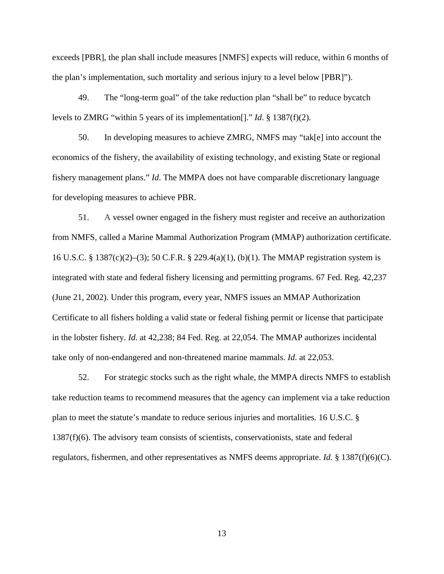exceeds [PBR], the plan shall include measures [NMFS] expects will reduce, within 6 months of the plan's implementation, such mortality and serious injury to a level below [PBR]").

49. The "long-term goal" of the take reduction plan "shall be" to reduce bycatch levels to ZMRG "within 5 years of its implementation[]." *Id*. § 1387(f)(2).

50. In developing measures to achieve ZMRG, NMFS may "tak[e] into account the economics of the fishery, the availability of existing technology, and existing State or regional fishery management plans." *Id*. The MMPA does not have comparable discretionary language for developing measures to achieve PBR.

51. A vessel owner engaged in the fishery must register and receive an authorization from NMFS, called a Marine Mammal Authorization Program (MMAP) authorization certificate. 16 U.S.C. § 1387(c)(2)–(3); 50 C.F.R. § 229.4(a)(1), (b)(1). The MMAP registration system is integrated with state and federal fishery licensing and permitting programs. 67 Fed. Reg. 42,237 (June 21, 2002). Under this program, every year, NMFS issues an MMAP Authorization Certificate to all fishers holding a valid state or federal fishing permit or license that participate in the lobster fishery. *Id*. at 42,238; 84 Fed. Reg. at 22,054. The MMAP authorizes incidental take only of non-endangered and non-threatened marine mammals. *Id*. at 22,053.

52. For strategic stocks such as the right whale, the MMPA directs NMFS to establish take reduction teams to recommend measures that the agency can implement via a take reduction plan to meet the statute's mandate to reduce serious injuries and mortalities*.* 16 U.S.C. § 1387(f)(6). The advisory team consists of scientists, conservationists, state and federal regulators, fishermen, and other representatives as NMFS deems appropriate. *Id.* § 1387(f)(6)(C).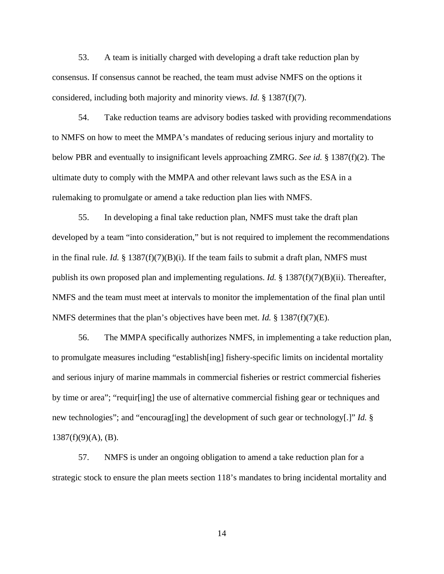53. A team is initially charged with developing a draft take reduction plan by consensus. If consensus cannot be reached, the team must advise NMFS on the options it considered, including both majority and minority views. *Id.* § 1387(f)(7).

54. Take reduction teams are advisory bodies tasked with providing recommendations to NMFS on how to meet the MMPA's mandates of reducing serious injury and mortality to below PBR and eventually to insignificant levels approaching ZMRG. *See id.* § 1387(f)(2). The ultimate duty to comply with the MMPA and other relevant laws such as the ESA in a rulemaking to promulgate or amend a take reduction plan lies with NMFS.

55. In developing a final take reduction plan, NMFS must take the draft plan developed by a team "into consideration," but is not required to implement the recommendations in the final rule. *Id.*  $\S$  1387(f)(7)(B)(i). If the team fails to submit a draft plan, NMFS must publish its own proposed plan and implementing regulations. *Id.* § 1387(f)(7)(B)(ii). Thereafter, NMFS and the team must meet at intervals to monitor the implementation of the final plan until NMFS determines that the plan's objectives have been met. *Id.* § 1387(f)(7)(E).

56. The MMPA specifically authorizes NMFS, in implementing a take reduction plan, to promulgate measures including "establish[ing] fishery-specific limits on incidental mortality and serious injury of marine mammals in commercial fisheries or restrict commercial fisheries by time or area"; "requir[ing] the use of alternative commercial fishing gear or techniques and new technologies"; and "encourag[ing] the development of such gear or technology[.]" *Id.* §  $1387(f)(9)(A)$ , (B).

57. NMFS is under an ongoing obligation to amend a take reduction plan for a strategic stock to ensure the plan meets section 118's mandates to bring incidental mortality and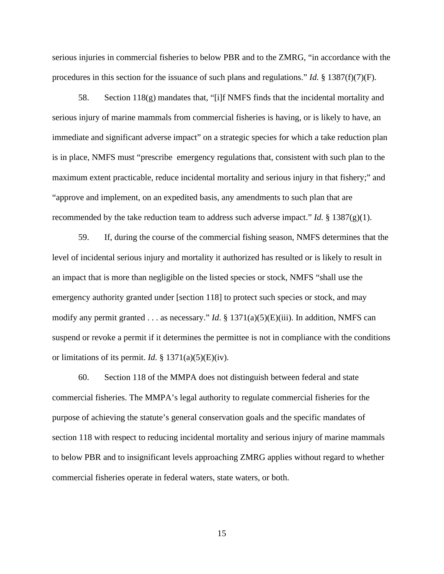serious injuries in commercial fisheries to below PBR and to the ZMRG, "in accordance with the procedures in this section for the issuance of such plans and regulations." *Id.* § 1387(f)(7)(F).

58. Section 118(g) mandates that, "[i]f NMFS finds that the incidental mortality and serious injury of marine mammals from commercial fisheries is having, or is likely to have, an immediate and significant adverse impact" on a strategic species for which a take reduction plan is in place, NMFS must "prescribe emergency regulations that, consistent with such plan to the maximum extent practicable, reduce incidental mortality and serious injury in that fishery;" and "approve and implement, on an expedited basis, any amendments to such plan that are recommended by the take reduction team to address such adverse impact." *Id.* § 1387(g)(1).

59. If, during the course of the commercial fishing season, NMFS determines that the level of incidental serious injury and mortality it authorized has resulted or is likely to result in an impact that is more than negligible on the listed species or stock, NMFS "shall use the emergency authority granted under [section 118] to protect such species or stock, and may modify any permit granted . . . as necessary." *Id*. § 1371(a)(5)(E)(iii). In addition, NMFS can suspend or revoke a permit if it determines the permittee is not in compliance with the conditions or limitations of its permit. *Id*. § 1371(a)(5)(E)(iv).

60. Section 118 of the MMPA does not distinguish between federal and state commercial fisheries. The MMPA's legal authority to regulate commercial fisheries for the purpose of achieving the statute's general conservation goals and the specific mandates of section 118 with respect to reducing incidental mortality and serious injury of marine mammals to below PBR and to insignificant levels approaching ZMRG applies without regard to whether commercial fisheries operate in federal waters, state waters, or both.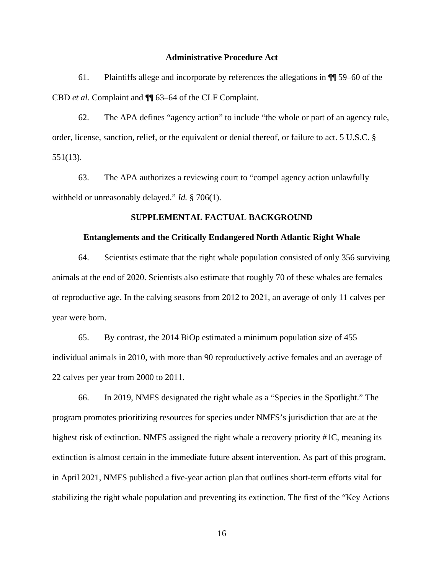### **Administrative Procedure Act**

61. Plaintiffs allege and incorporate by references the allegations in ¶¶ 59–60 of the CBD *et al.* Complaint and ¶¶ 63–64 of the CLF Complaint.

62. The APA defines "agency action" to include "the whole or part of an agency rule, order, license, sanction, relief, or the equivalent or denial thereof, or failure to act. 5 U.S.C. § 551(13).

63. The APA authorizes a reviewing court to "compel agency action unlawfully withheld or unreasonably delayed." *Id.* § 706(1).

### **SUPPLEMENTAL FACTUAL BACKGROUND**

#### **Entanglements and the Critically Endangered North Atlantic Right Whale**

64. Scientists estimate that the right whale population consisted of only 356 surviving animals at the end of 2020. Scientists also estimate that roughly 70 of these whales are females of reproductive age. In the calving seasons from 2012 to 2021, an average of only 11 calves per year were born.

65. By contrast, the 2014 BiOp estimated a minimum population size of 455 individual animals in 2010, with more than 90 reproductively active females and an average of 22 calves per year from 2000 to 2011.

66. In 2019, NMFS designated the right whale as a "Species in the Spotlight." The program promotes prioritizing resources for species under NMFS's jurisdiction that are at the highest risk of extinction. NMFS assigned the right whale a recovery priority #1C, meaning its extinction is almost certain in the immediate future absent intervention. As part of this program, in April 2021, NMFS published a five-year action plan that outlines short-term efforts vital for stabilizing the right whale population and preventing its extinction. The first of the "Key Actions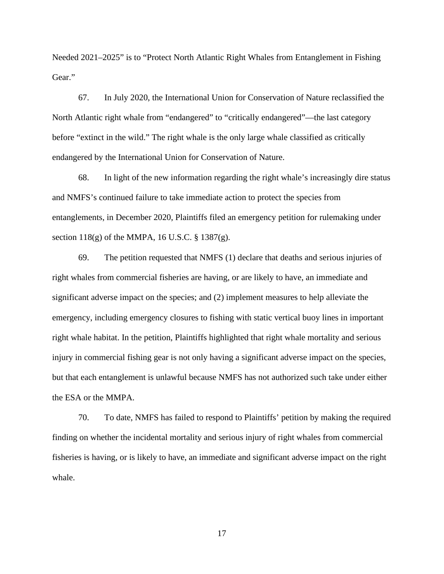Needed 2021–2025" is to "Protect North Atlantic Right Whales from Entanglement in Fishing Gear."

67. In July 2020, the International Union for Conservation of Nature reclassified the North Atlantic right whale from "endangered" to "critically endangered"—the last category before "extinct in the wild." The right whale is the only large whale classified as critically endangered by the International Union for Conservation of Nature.

68. In light of the new information regarding the right whale's increasingly dire status and NMFS's continued failure to take immediate action to protect the species from entanglements, in December 2020, Plaintiffs filed an emergency petition for rulemaking under section 118(g) of the MMPA, 16 U.S.C. § 1387(g).

69. The petition requested that NMFS (1) declare that deaths and serious injuries of right whales from commercial fisheries are having, or are likely to have, an immediate and significant adverse impact on the species; and (2) implement measures to help alleviate the emergency, including emergency closures to fishing with static vertical buoy lines in important right whale habitat. In the petition, Plaintiffs highlighted that right whale mortality and serious injury in commercial fishing gear is not only having a significant adverse impact on the species, but that each entanglement is unlawful because NMFS has not authorized such take under either the ESA or the MMPA.

70. To date, NMFS has failed to respond to Plaintiffs' petition by making the required finding on whether the incidental mortality and serious injury of right whales from commercial fisheries is having, or is likely to have, an immediate and significant adverse impact on the right whale.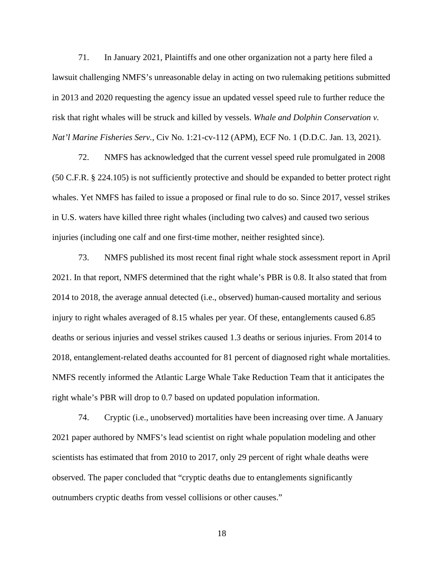71. In January 2021, Plaintiffs and one other organization not a party here filed a lawsuit challenging NMFS's unreasonable delay in acting on two rulemaking petitions submitted in 2013 and 2020 requesting the agency issue an updated vessel speed rule to further reduce the risk that right whales will be struck and killed by vessels. *Whale and Dolphin Conservation v. Nat'l Marine Fisheries Serv.*, Civ No. 1:21-cv-112 (APM), ECF No. 1 (D.D.C. Jan. 13, 2021).

72. NMFS has acknowledged that the current vessel speed rule promulgated in 2008 (50 C.F.R. § 224.105) is not sufficiently protective and should be expanded to better protect right whales. Yet NMFS has failed to issue a proposed or final rule to do so. Since 2017, vessel strikes in U.S. waters have killed three right whales (including two calves) and caused two serious injuries (including one calf and one first-time mother, neither resighted since).

73. NMFS published its most recent final right whale stock assessment report in April 2021. In that report, NMFS determined that the right whale's PBR is 0.8. It also stated that from 2014 to 2018, the average annual detected (i.e., observed) human-caused mortality and serious injury to right whales averaged of 8.15 whales per year. Of these, entanglements caused 6.85 deaths or serious injuries and vessel strikes caused 1.3 deaths or serious injuries. From 2014 to 2018, entanglement-related deaths accounted for 81 percent of diagnosed right whale mortalities. NMFS recently informed the Atlantic Large Whale Take Reduction Team that it anticipates the right whale's PBR will drop to 0.7 based on updated population information.

74. Cryptic (i.e., unobserved) mortalities have been increasing over time. A January 2021 paper authored by NMFS's lead scientist on right whale population modeling and other scientists has estimated that from 2010 to 2017, only 29 percent of right whale deaths were observed. The paper concluded that "cryptic deaths due to entanglements significantly outnumbers cryptic deaths from vessel collisions or other causes."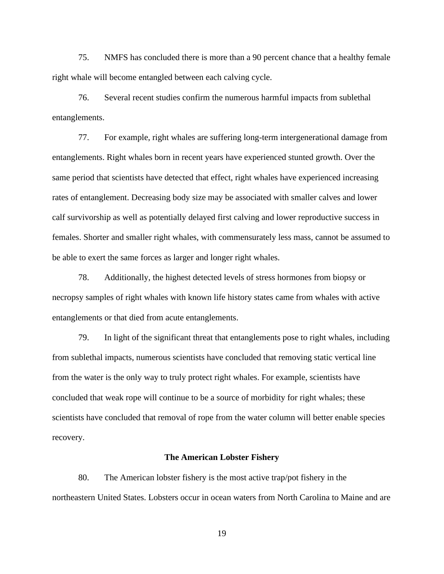75. NMFS has concluded there is more than a 90 percent chance that a healthy female right whale will become entangled between each calving cycle.

76. Several recent studies confirm the numerous harmful impacts from sublethal entanglements.

77. For example, right whales are suffering long-term intergenerational damage from entanglements. Right whales born in recent years have experienced stunted growth. Over the same period that scientists have detected that effect, right whales have experienced increasing rates of entanglement. Decreasing body size may be associated with smaller calves and lower calf survivorship as well as potentially delayed first calving and lower reproductive success in females. Shorter and smaller right whales, with commensurately less mass, cannot be assumed to be able to exert the same forces as larger and longer right whales.

78. Additionally, the highest detected levels of stress hormones from biopsy or necropsy samples of right whales with known life history states came from whales with active entanglements or that died from acute entanglements.

79. In light of the significant threat that entanglements pose to right whales, including from sublethal impacts, numerous scientists have concluded that removing static vertical line from the water is the only way to truly protect right whales. For example, scientists have concluded that weak rope will continue to be a source of morbidity for right whales; these scientists have concluded that removal of rope from the water column will better enable species recovery.

#### **The American Lobster Fishery**

80. The American lobster fishery is the most active trap/pot fishery in the northeastern United States. Lobsters occur in ocean waters from North Carolina to Maine and are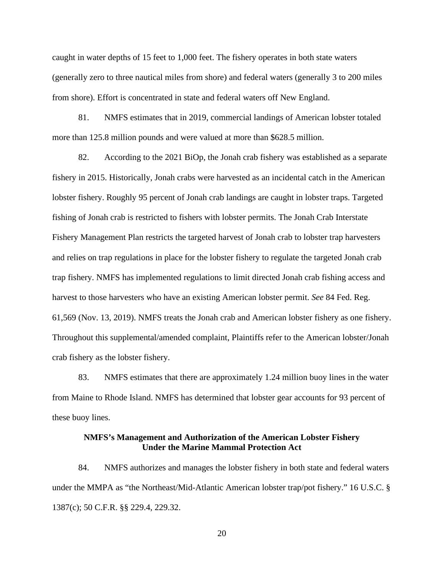caught in water depths of 15 feet to 1,000 feet. The fishery operates in both state waters (generally zero to three nautical miles from shore) and federal waters (generally 3 to 200 miles from shore). Effort is concentrated in state and federal waters off New England.

81. NMFS estimates that in 2019, commercial landings of American lobster totaled more than 125.8 million pounds and were valued at more than \$628.5 million.

82. According to the 2021 BiOp, the Jonah crab fishery was established as a separate fishery in 2015. Historically, Jonah crabs were harvested as an incidental catch in the American lobster fishery. Roughly 95 percent of Jonah crab landings are caught in lobster traps. Targeted fishing of Jonah crab is restricted to fishers with lobster permits. The Jonah Crab Interstate Fishery Management Plan restricts the targeted harvest of Jonah crab to lobster trap harvesters and relies on trap regulations in place for the lobster fishery to regulate the targeted Jonah crab trap fishery. NMFS has implemented regulations to limit directed Jonah crab fishing access and harvest to those harvesters who have an existing American lobster permit. *See* 84 Fed. Reg. 61,569 (Nov. 13, 2019). NMFS treats the Jonah crab and American lobster fishery as one fishery. Throughout this supplemental/amended complaint, Plaintiffs refer to the American lobster/Jonah crab fishery as the lobster fishery.

83. NMFS estimates that there are approximately 1.24 million buoy lines in the water from Maine to Rhode Island. NMFS has determined that lobster gear accounts for 93 percent of these buoy lines.

## **NMFS's Management and Authorization of the American Lobster Fishery Under the Marine Mammal Protection Act**

84. NMFS authorizes and manages the lobster fishery in both state and federal waters under the MMPA as "the Northeast/Mid-Atlantic American lobster trap/pot fishery." 16 U.S.C. § 1387(c); 50 C.F.R. §§ 229.4, 229.32.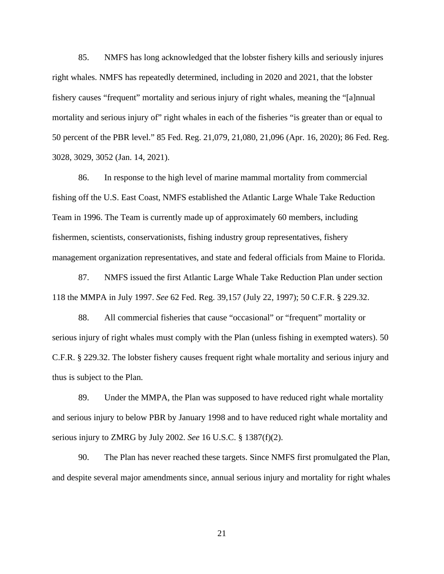85. NMFS has long acknowledged that the lobster fishery kills and seriously injures right whales. NMFS has repeatedly determined, including in 2020 and 2021, that the lobster fishery causes "frequent" mortality and serious injury of right whales, meaning the "[a]nnual mortality and serious injury of" right whales in each of the fisheries "is greater than or equal to 50 percent of the PBR level." 85 Fed. Reg. 21,079, 21,080, 21,096 (Apr. 16, 2020); 86 Fed. Reg. 3028, 3029, 3052 (Jan. 14, 2021).

86. In response to the high level of marine mammal mortality from commercial fishing off the U.S. East Coast, NMFS established the Atlantic Large Whale Take Reduction Team in 1996. The Team is currently made up of approximately 60 members, including fishermen, scientists, conservationists, fishing industry group representatives, fishery management organization representatives, and state and federal officials from Maine to Florida.

87. NMFS issued the first Atlantic Large Whale Take Reduction Plan under section 118 the MMPA in July 1997. *See* 62 Fed. Reg. 39,157 (July 22, 1997); 50 C.F.R. § 229.32.

88. All commercial fisheries that cause "occasional" or "frequent" mortality or serious injury of right whales must comply with the Plan (unless fishing in exempted waters). 50 C.F.R. § 229.32. The lobster fishery causes frequent right whale mortality and serious injury and thus is subject to the Plan.

89. Under the MMPA, the Plan was supposed to have reduced right whale mortality and serious injury to below PBR by January 1998 and to have reduced right whale mortality and serious injury to ZMRG by July 2002. *See* 16 U.S.C. § 1387(f)(2).

90. The Plan has never reached these targets. Since NMFS first promulgated the Plan, and despite several major amendments since, annual serious injury and mortality for right whales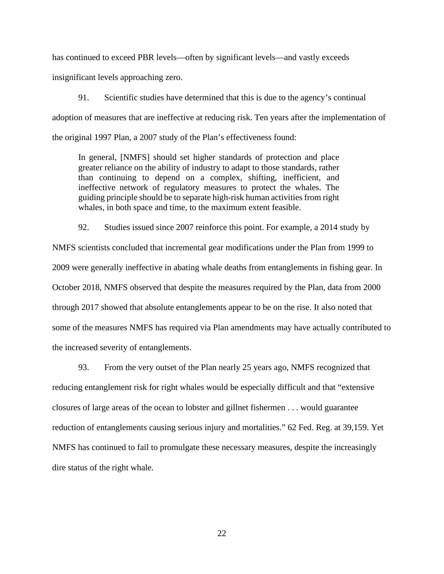has continued to exceed PBR levels—often by significant levels—and vastly exceeds

insignificant levels approaching zero.

91. Scientific studies have determined that this is due to the agency's continual adoption of measures that are ineffective at reducing risk. Ten years after the implementation of the original 1997 Plan, a 2007 study of the Plan's effectiveness found:

In general, [NMFS] should set higher standards of protection and place greater reliance on the ability of industry to adapt to those standards, rather than continuing to depend on a complex, shifting, inefficient, and ineffective network of regulatory measures to protect the whales. The guiding principle should be to separate high-risk human activities from right whales, in both space and time, to the maximum extent feasible.

92. Studies issued since 2007 reinforce this point. For example, a 2014 study by NMFS scientists concluded that incremental gear modifications under the Plan from 1999 to 2009 were generally ineffective in abating whale deaths from entanglements in fishing gear. In October 2018, NMFS observed that despite the measures required by the Plan, data from 2000 through 2017 showed that absolute entanglements appear to be on the rise. It also noted that some of the measures NMFS has required via Plan amendments may have actually contributed to the increased severity of entanglements.

93. From the very outset of the Plan nearly 25 years ago, NMFS recognized that reducing entanglement risk for right whales would be especially difficult and that "extensive closures of large areas of the ocean to lobster and gillnet fishermen . . . would guarantee reduction of entanglements causing serious injury and mortalities." 62 Fed. Reg. at 39,159. Yet NMFS has continued to fail to promulgate these necessary measures, despite the increasingly dire status of the right whale.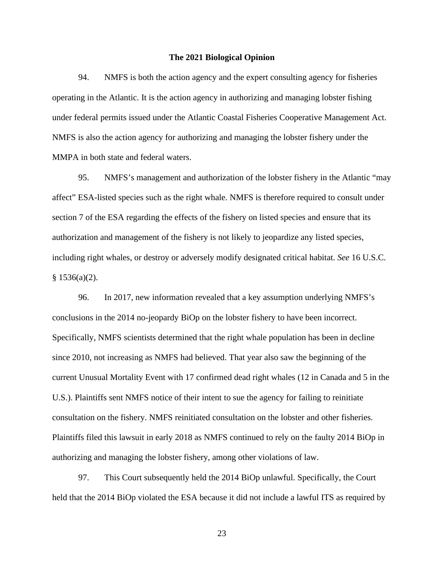### **The 2021 Biological Opinion**

94. NMFS is both the action agency and the expert consulting agency for fisheries operating in the Atlantic. It is the action agency in authorizing and managing lobster fishing under federal permits issued under the Atlantic Coastal Fisheries Cooperative Management Act. NMFS is also the action agency for authorizing and managing the lobster fishery under the MMPA in both state and federal waters.

95. NMFS's management and authorization of the lobster fishery in the Atlantic "may affect" ESA-listed species such as the right whale. NMFS is therefore required to consult under section 7 of the ESA regarding the effects of the fishery on listed species and ensure that its authorization and management of the fishery is not likely to jeopardize any listed species, including right whales, or destroy or adversely modify designated critical habitat. *See* 16 U.S.C.  $§ 1536(a)(2).$ 

96. In 2017, new information revealed that a key assumption underlying NMFS's conclusions in the 2014 no-jeopardy BiOp on the lobster fishery to have been incorrect. Specifically, NMFS scientists determined that the right whale population has been in decline since 2010, not increasing as NMFS had believed. That year also saw the beginning of the current Unusual Mortality Event with 17 confirmed dead right whales (12 in Canada and 5 in the U.S.). Plaintiffs sent NMFS notice of their intent to sue the agency for failing to reinitiate consultation on the fishery. NMFS reinitiated consultation on the lobster and other fisheries. Plaintiffs filed this lawsuit in early 2018 as NMFS continued to rely on the faulty 2014 BiOp in authorizing and managing the lobster fishery, among other violations of law.

97. This Court subsequently held the 2014 BiOp unlawful. Specifically, the Court held that the 2014 BiOp violated the ESA because it did not include a lawful ITS as required by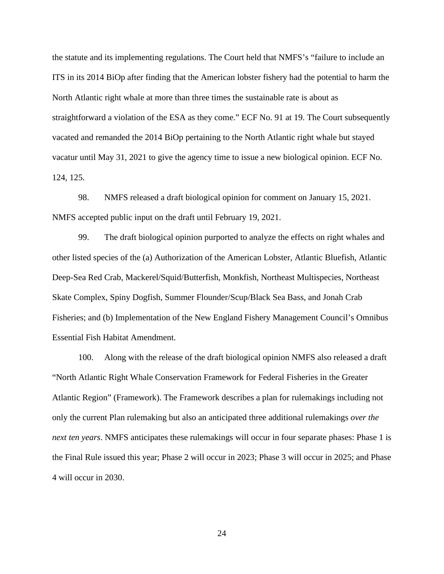the statute and its implementing regulations. The Court held that NMFS's "failure to include an ITS in its 2014 BiOp after finding that the American lobster fishery had the potential to harm the North Atlantic right whale at more than three times the sustainable rate is about as straightforward a violation of the ESA as they come." ECF No. 91 at 19. The Court subsequently vacated and remanded the 2014 BiOp pertaining to the North Atlantic right whale but stayed vacatur until May 31, 2021 to give the agency time to issue a new biological opinion. ECF No. 124, 125.

98. NMFS released a draft biological opinion for comment on January 15, 2021. NMFS accepted public input on the draft until February 19, 2021.

99. The draft biological opinion purported to analyze the effects on right whales and other listed species of the (a) Authorization of the American Lobster, Atlantic Bluefish, Atlantic Deep-Sea Red Crab, Mackerel/Squid/Butterfish, Monkfish, Northeast Multispecies, Northeast Skate Complex, Spiny Dogfish, Summer Flounder/Scup/Black Sea Bass, and Jonah Crab Fisheries; and (b) Implementation of the New England Fishery Management Council's Omnibus Essential Fish Habitat Amendment.

100. Along with the release of the draft biological opinion NMFS also released a draft "North Atlantic Right Whale Conservation Framework for Federal Fisheries in the Greater Atlantic Region" (Framework). The Framework describes a plan for rulemakings including not only the current Plan rulemaking but also an anticipated three additional rulemakings *over the next ten years*. NMFS anticipates these rulemakings will occur in four separate phases: Phase 1 is the Final Rule issued this year; Phase 2 will occur in 2023; Phase 3 will occur in 2025; and Phase 4 will occur in 2030.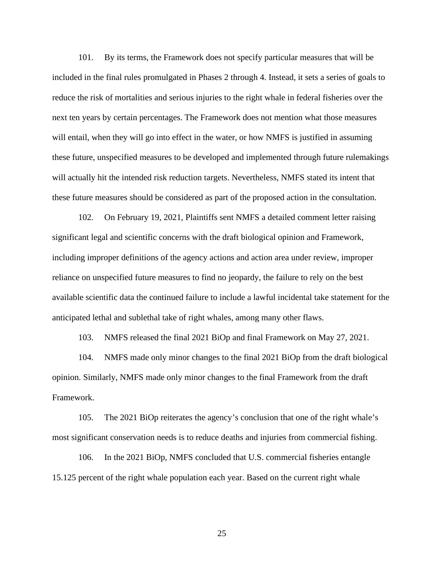101. By its terms, the Framework does not specify particular measures that will be included in the final rules promulgated in Phases 2 through 4. Instead, it sets a series of goals to reduce the risk of mortalities and serious injuries to the right whale in federal fisheries over the next ten years by certain percentages. The Framework does not mention what those measures will entail, when they will go into effect in the water, or how NMFS is justified in assuming these future, unspecified measures to be developed and implemented through future rulemakings will actually hit the intended risk reduction targets. Nevertheless, NMFS stated its intent that these future measures should be considered as part of the proposed action in the consultation.

102. On February 19, 2021, Plaintiffs sent NMFS a detailed comment letter raising significant legal and scientific concerns with the draft biological opinion and Framework, including improper definitions of the agency actions and action area under review, improper reliance on unspecified future measures to find no jeopardy, the failure to rely on the best available scientific data the continued failure to include a lawful incidental take statement for the anticipated lethal and sublethal take of right whales, among many other flaws.

103. NMFS released the final 2021 BiOp and final Framework on May 27, 2021.

104. NMFS made only minor changes to the final 2021 BiOp from the draft biological opinion. Similarly, NMFS made only minor changes to the final Framework from the draft Framework.

105. The 2021 BiOp reiterates the agency's conclusion that one of the right whale's most significant conservation needs is to reduce deaths and injuries from commercial fishing.

106. In the 2021 BiOp, NMFS concluded that U.S. commercial fisheries entangle 15.125 percent of the right whale population each year. Based on the current right whale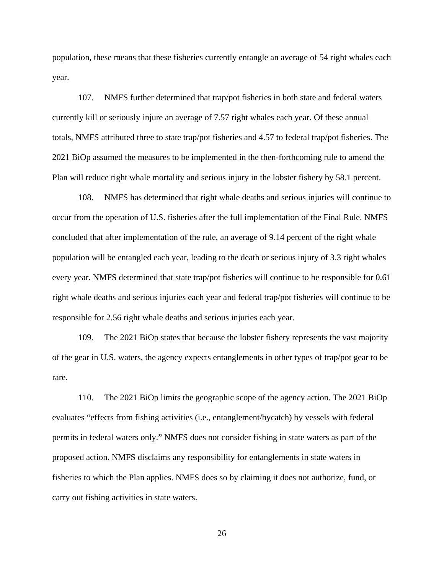population, these means that these fisheries currently entangle an average of 54 right whales each year.

107. NMFS further determined that trap/pot fisheries in both state and federal waters currently kill or seriously injure an average of 7.57 right whales each year. Of these annual totals, NMFS attributed three to state trap/pot fisheries and 4.57 to federal trap/pot fisheries. The 2021 BiOp assumed the measures to be implemented in the then-forthcoming rule to amend the Plan will reduce right whale mortality and serious injury in the lobster fishery by 58.1 percent.

108. NMFS has determined that right whale deaths and serious injuries will continue to occur from the operation of U.S. fisheries after the full implementation of the Final Rule. NMFS concluded that after implementation of the rule, an average of 9.14 percent of the right whale population will be entangled each year, leading to the death or serious injury of 3.3 right whales every year. NMFS determined that state trap/pot fisheries will continue to be responsible for 0.61 right whale deaths and serious injuries each year and federal trap/pot fisheries will continue to be responsible for 2.56 right whale deaths and serious injuries each year.

109. The 2021 BiOp states that because the lobster fishery represents the vast majority of the gear in U.S. waters, the agency expects entanglements in other types of trap/pot gear to be rare.

110. The 2021 BiOp limits the geographic scope of the agency action. The 2021 BiOp evaluates "effects from fishing activities (i.e., entanglement/bycatch) by vessels with federal permits in federal waters only." NMFS does not consider fishing in state waters as part of the proposed action. NMFS disclaims any responsibility for entanglements in state waters in fisheries to which the Plan applies. NMFS does so by claiming it does not authorize, fund, or carry out fishing activities in state waters.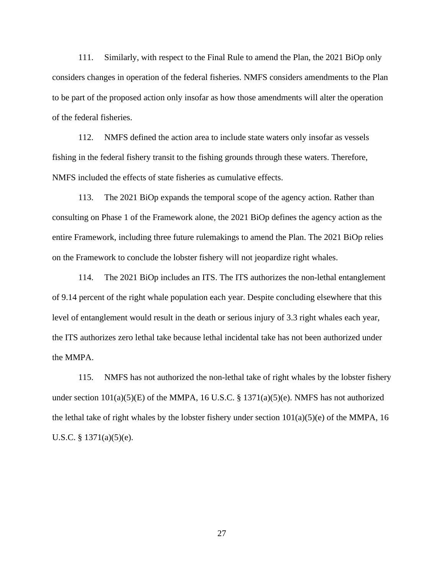111. Similarly, with respect to the Final Rule to amend the Plan, the 2021 BiOp only considers changes in operation of the federal fisheries. NMFS considers amendments to the Plan to be part of the proposed action only insofar as how those amendments will alter the operation of the federal fisheries.

112. NMFS defined the action area to include state waters only insofar as vessels fishing in the federal fishery transit to the fishing grounds through these waters. Therefore, NMFS included the effects of state fisheries as cumulative effects.

113. The 2021 BiOp expands the temporal scope of the agency action. Rather than consulting on Phase 1 of the Framework alone, the 2021 BiOp defines the agency action as the entire Framework, including three future rulemakings to amend the Plan. The 2021 BiOp relies on the Framework to conclude the lobster fishery will not jeopardize right whales.

114. The 2021 BiOp includes an ITS. The ITS authorizes the non-lethal entanglement of 9.14 percent of the right whale population each year. Despite concluding elsewhere that this level of entanglement would result in the death or serious injury of 3.3 right whales each year, the ITS authorizes zero lethal take because lethal incidental take has not been authorized under the MMPA.

115. NMFS has not authorized the non-lethal take of right whales by the lobster fishery under section  $101(a)(5)(E)$  of the MMPA, 16 U.S.C. § 1371(a)(5)(e). NMFS has not authorized the lethal take of right whales by the lobster fishery under section  $101(a)(5)(e)$  of the MMPA, 16 U.S.C. § 1371(a)(5)(e).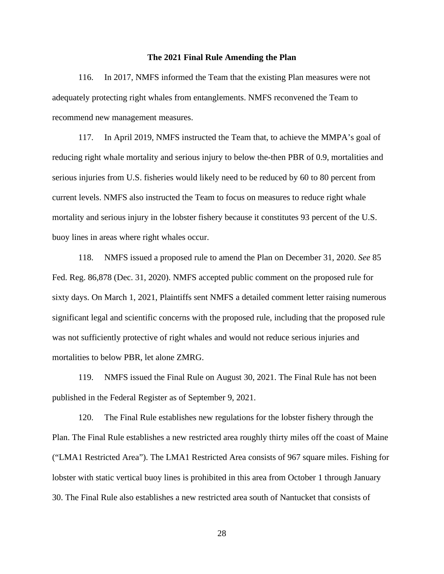#### **The 2021 Final Rule Amending the Plan**

116. In 2017, NMFS informed the Team that the existing Plan measures were not adequately protecting right whales from entanglements. NMFS reconvened the Team to recommend new management measures.

117. In April 2019, NMFS instructed the Team that, to achieve the MMPA's goal of reducing right whale mortality and serious injury to below the-then PBR of 0.9, mortalities and serious injuries from U.S. fisheries would likely need to be reduced by 60 to 80 percent from current levels. NMFS also instructed the Team to focus on measures to reduce right whale mortality and serious injury in the lobster fishery because it constitutes 93 percent of the U.S. buoy lines in areas where right whales occur.

118. NMFS issued a proposed rule to amend the Plan on December 31, 2020. *See* 85 Fed. Reg. 86,878 (Dec. 31, 2020). NMFS accepted public comment on the proposed rule for sixty days. On March 1, 2021, Plaintiffs sent NMFS a detailed comment letter raising numerous significant legal and scientific concerns with the proposed rule, including that the proposed rule was not sufficiently protective of right whales and would not reduce serious injuries and mortalities to below PBR, let alone ZMRG.

119. NMFS issued the Final Rule on August 30, 2021. The Final Rule has not been published in the Federal Register as of September 9, 2021.

120. The Final Rule establishes new regulations for the lobster fishery through the Plan. The Final Rule establishes a new restricted area roughly thirty miles off the coast of Maine ("LMA1 Restricted Area"). The LMA1 Restricted Area consists of 967 square miles. Fishing for lobster with static vertical buoy lines is prohibited in this area from October 1 through January 30. The Final Rule also establishes a new restricted area south of Nantucket that consists of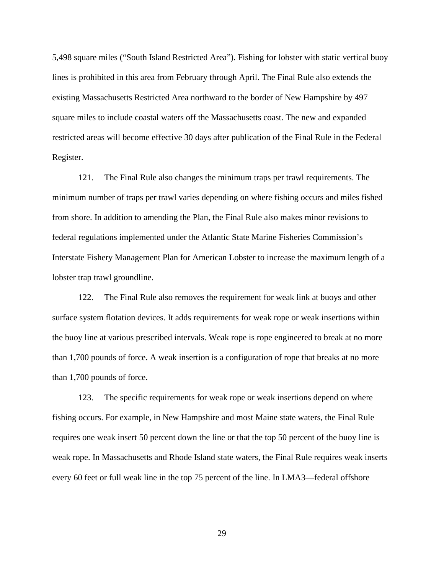5,498 square miles ("South Island Restricted Area"). Fishing for lobster with static vertical buoy lines is prohibited in this area from February through April. The Final Rule also extends the existing Massachusetts Restricted Area northward to the border of New Hampshire by 497 square miles to include coastal waters off the Massachusetts coast. The new and expanded restricted areas will become effective 30 days after publication of the Final Rule in the Federal Register.

121. The Final Rule also changes the minimum traps per trawl requirements. The minimum number of traps per trawl varies depending on where fishing occurs and miles fished from shore. In addition to amending the Plan, the Final Rule also makes minor revisions to federal regulations implemented under the Atlantic State Marine Fisheries Commission's Interstate Fishery Management Plan for American Lobster to increase the maximum length of a lobster trap trawl groundline.

122. The Final Rule also removes the requirement for weak link at buoys and other surface system flotation devices. It adds requirements for weak rope or weak insertions within the buoy line at various prescribed intervals. Weak rope is rope engineered to break at no more than 1,700 pounds of force. A weak insertion is a configuration of rope that breaks at no more than 1,700 pounds of force.

123. The specific requirements for weak rope or weak insertions depend on where fishing occurs. For example, in New Hampshire and most Maine state waters, the Final Rule requires one weak insert 50 percent down the line or that the top 50 percent of the buoy line is weak rope. In Massachusetts and Rhode Island state waters, the Final Rule requires weak inserts every 60 feet or full weak line in the top 75 percent of the line. In LMA3—federal offshore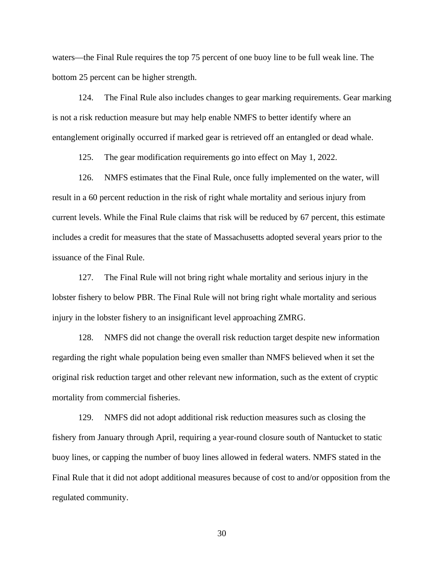waters—the Final Rule requires the top 75 percent of one buoy line to be full weak line. The bottom 25 percent can be higher strength.

124. The Final Rule also includes changes to gear marking requirements. Gear marking is not a risk reduction measure but may help enable NMFS to better identify where an entanglement originally occurred if marked gear is retrieved off an entangled or dead whale.

125. The gear modification requirements go into effect on May 1, 2022.

126. NMFS estimates that the Final Rule, once fully implemented on the water, will result in a 60 percent reduction in the risk of right whale mortality and serious injury from current levels. While the Final Rule claims that risk will be reduced by 67 percent, this estimate includes a credit for measures that the state of Massachusetts adopted several years prior to the issuance of the Final Rule.

127. The Final Rule will not bring right whale mortality and serious injury in the lobster fishery to below PBR. The Final Rule will not bring right whale mortality and serious injury in the lobster fishery to an insignificant level approaching ZMRG.

128. NMFS did not change the overall risk reduction target despite new information regarding the right whale population being even smaller than NMFS believed when it set the original risk reduction target and other relevant new information, such as the extent of cryptic mortality from commercial fisheries.

129. NMFS did not adopt additional risk reduction measures such as closing the fishery from January through April, requiring a year-round closure south of Nantucket to static buoy lines, or capping the number of buoy lines allowed in federal waters. NMFS stated in the Final Rule that it did not adopt additional measures because of cost to and/or opposition from the regulated community.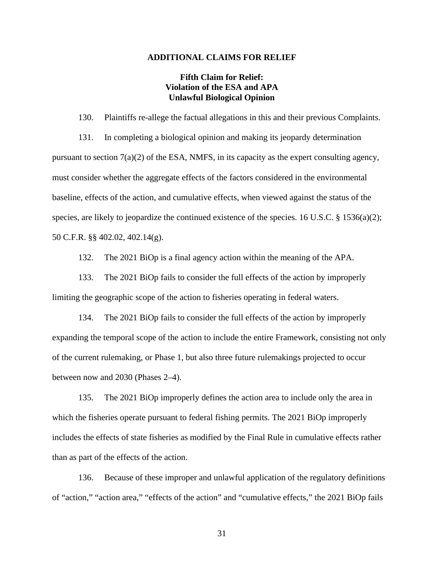#### **ADDITIONAL CLAIMS FOR RELIEF**

## **Fifth Claim for Relief: Violation of the ESA and APA Unlawful Biological Opinion**

130. Plaintiffs re-allege the factual allegations in this and their previous Complaints. 131. In completing a biological opinion and making its jeopardy determination pursuant to section 7(a)(2) of the ESA, NMFS, in its capacity as the expert consulting agency, must consider whether the aggregate effects of the factors considered in the environmental baseline, effects of the action, and cumulative effects, when viewed against the status of the species, are likely to jeopardize the continued existence of the species. 16 U.S.C. § 1536(a)(2); 50 C.F.R. §§ 402.02, 402.14(g).

132. The 2021 BiOp is a final agency action within the meaning of the APA.

133. The 2021 BiOp fails to consider the full effects of the action by improperly limiting the geographic scope of the action to fisheries operating in federal waters.

134. The 2021 BiOp fails to consider the full effects of the action by improperly expanding the temporal scope of the action to include the entire Framework, consisting not only of the current rulemaking, or Phase 1, but also three future rulemakings projected to occur between now and 2030 (Phases 2–4).

135. The 2021 BiOp improperly defines the action area to include only the area in which the fisheries operate pursuant to federal fishing permits. The 2021 BiOp improperly includes the effects of state fisheries as modified by the Final Rule in cumulative effects rather than as part of the effects of the action.

136. Because of these improper and unlawful application of the regulatory definitions of "action," "action area," "effects of the action" and "cumulative effects," the 2021 BiOp fails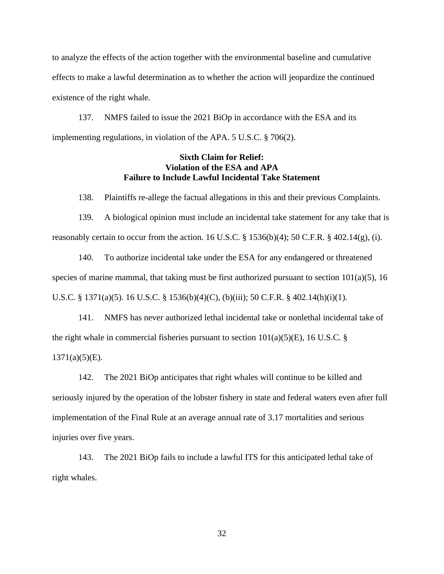to analyze the effects of the action together with the environmental baseline and cumulative effects to make a lawful determination as to whether the action will jeopardize the continued existence of the right whale.

137. NMFS failed to issue the 2021 BiOp in accordance with the ESA and its implementing regulations, in violation of the APA. 5 U.S.C. § 706(2).

# **Sixth Claim for Relief: Violation of the ESA and APA Failure to Include Lawful Incidental Take Statement**

138. Plaintiffs re-allege the factual allegations in this and their previous Complaints.

139. A biological opinion must include an incidental take statement for any take that is reasonably certain to occur from the action. 16 U.S.C.  $\S$  1536(b)(4); 50 C.F.R.  $\S$  402.14(g), (i).

140. To authorize incidental take under the ESA for any endangered or threatened species of marine mammal, that taking must be first authorized pursuant to section  $101(a)(5)$ , 16 U.S.C. § 1371(a)(5). 16 U.S.C. § 1536(b)(4)(C), (b)(iii); 50 C.F.R. § 402.14(h)(i)(1).

141. NMFS has never authorized lethal incidental take or nonlethal incidental take of the right whale in commercial fisheries pursuant to section  $101(a)(5)(E)$ , 16 U.S.C. §  $1371(a)(5)(E)$ .

142. The 2021 BiOp anticipates that right whales will continue to be killed and seriously injured by the operation of the lobster fishery in state and federal waters even after full implementation of the Final Rule at an average annual rate of 3.17 mortalities and serious injuries over five years.

143. The 2021 BiOp fails to include a lawful ITS for this anticipated lethal take of right whales.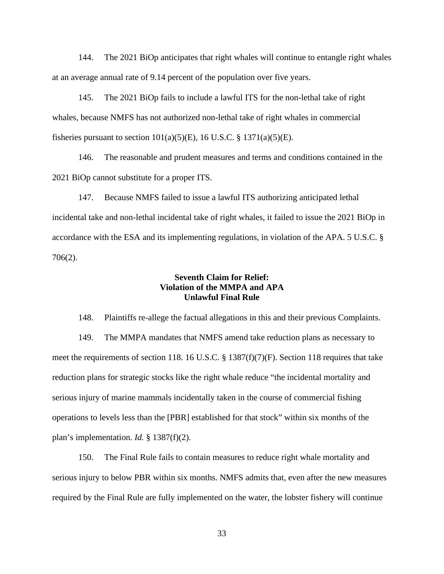144. The 2021 BiOp anticipates that right whales will continue to entangle right whales at an average annual rate of 9.14 percent of the population over five years.

145. The 2021 BiOp fails to include a lawful ITS for the non-lethal take of right whales, because NMFS has not authorized non-lethal take of right whales in commercial fisheries pursuant to section  $101(a)(5)(E)$ , 16 U.S.C. § 1371(a)(5)(E).

146. The reasonable and prudent measures and terms and conditions contained in the 2021 BiOp cannot substitute for a proper ITS.

147. Because NMFS failed to issue a lawful ITS authorizing anticipated lethal incidental take and non-lethal incidental take of right whales, it failed to issue the 2021 BiOp in accordance with the ESA and its implementing regulations, in violation of the APA. 5 U.S.C. § 706(2).

## **Seventh Claim for Relief: Violation of the MMPA and APA Unlawful Final Rule**

148. Plaintiffs re-allege the factual allegations in this and their previous Complaints. 149. The MMPA mandates that NMFS amend take reduction plans as necessary to meet the requirements of section 118. 16 U.S.C. § 1387(f)(7)(F). Section 118 requires that take reduction plans for strategic stocks like the right whale reduce "the incidental mortality and serious injury of marine mammals incidentally taken in the course of commercial fishing operations to levels less than the [PBR] established for that stock" within six months of the plan's implementation. *Id.* § 1387(f)(2).

150. The Final Rule fails to contain measures to reduce right whale mortality and serious injury to below PBR within six months. NMFS admits that, even after the new measures required by the Final Rule are fully implemented on the water, the lobster fishery will continue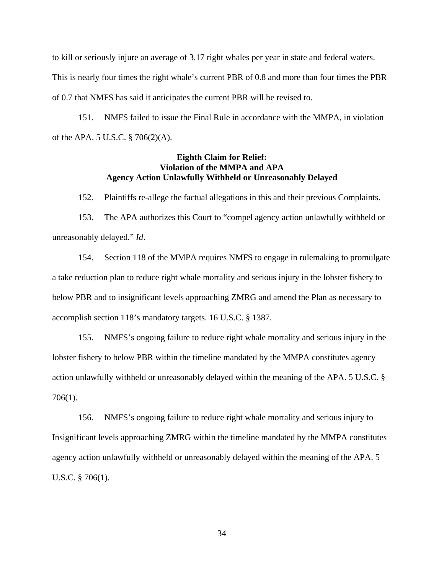to kill or seriously injure an average of 3.17 right whales per year in state and federal waters. This is nearly four times the right whale's current PBR of 0.8 and more than four times the PBR of 0.7 that NMFS has said it anticipates the current PBR will be revised to.

151. NMFS failed to issue the Final Rule in accordance with the MMPA, in violation of the APA. 5 U.S.C. § 706(2)(A).

## **Eighth Claim for Relief: Violation of the MMPA and APA Agency Action Unlawfully Withheld or Unreasonably Delayed**

152. Plaintiffs re-allege the factual allegations in this and their previous Complaints.

153. The APA authorizes this Court to "compel agency action unlawfully withheld or unreasonably delayed." *Id*.

154. Section 118 of the MMPA requires NMFS to engage in rulemaking to promulgate a take reduction plan to reduce right whale mortality and serious injury in the lobster fishery to below PBR and to insignificant levels approaching ZMRG and amend the Plan as necessary to accomplish section 118's mandatory targets. 16 U.S.C. § 1387.

155. NMFS's ongoing failure to reduce right whale mortality and serious injury in the lobster fishery to below PBR within the timeline mandated by the MMPA constitutes agency action unlawfully withheld or unreasonably delayed within the meaning of the APA. 5 U.S.C. § 706(1).

156. NMFS's ongoing failure to reduce right whale mortality and serious injury to Insignificant levels approaching ZMRG within the timeline mandated by the MMPA constitutes agency action unlawfully withheld or unreasonably delayed within the meaning of the APA. 5 U.S.C. § 706(1).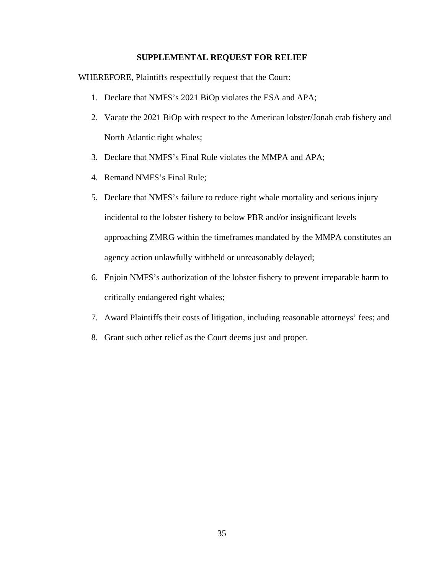### **SUPPLEMENTAL REQUEST FOR RELIEF**

WHEREFORE, Plaintiffs respectfully request that the Court:

- 1. Declare that NMFS's 2021 BiOp violates the ESA and APA;
- 2. Vacate the 2021 BiOp with respect to the American lobster/Jonah crab fishery and North Atlantic right whales;
- 3. Declare that NMFS's Final Rule violates the MMPA and APA;
- 4. Remand NMFS's Final Rule;
- 5. Declare that NMFS's failure to reduce right whale mortality and serious injury incidental to the lobster fishery to below PBR and/or insignificant levels approaching ZMRG within the timeframes mandated by the MMPA constitutes an agency action unlawfully withheld or unreasonably delayed;
- 6. Enjoin NMFS's authorization of the lobster fishery to prevent irreparable harm to critically endangered right whales;
- 7. Award Plaintiffs their costs of litigation, including reasonable attorneys' fees; and
- 8. Grant such other relief as the Court deems just and proper.